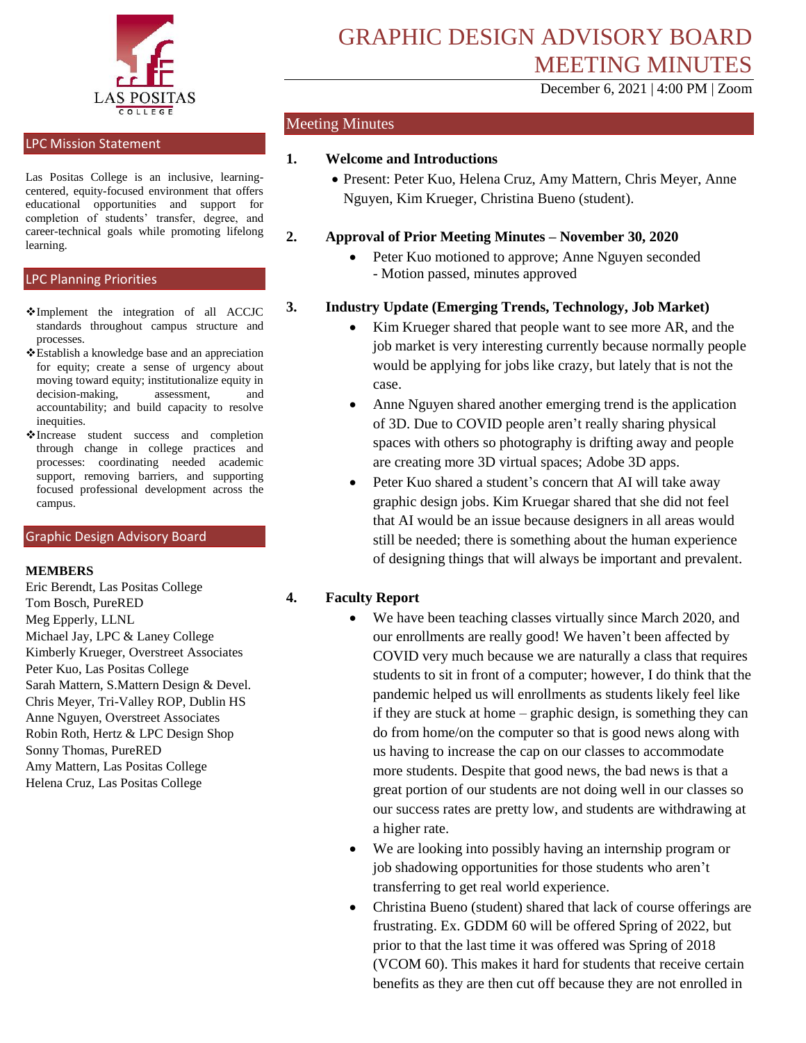

# LPC Mission Statement

Las Positas College is an inclusive, learningcentered, equity-focused environment that offers educational opportunities and support for completion of students' transfer, degree, and career-technical goals while promoting lifelong learning.

#### LPC Planning Priorities

- Implement the integration of all ACCJC standards throughout campus structure and processes.
- Establish a knowledge base and an appreciation for equity; create a sense of urgency about moving toward equity; institutionalize equity in decision-making, assessment, and accountability; and build capacity to resolve inequities.
- Increase student success and completion through change in college practices and processes: coordinating needed academic support, removing barriers, and supporting focused professional development across the campus.

#### Graphic Design Advisory Board

#### **MEMBERS**

Eric Berendt, Las Positas College Tom Bosch, PureRED Meg Epperly, LLNL Michael Jay, LPC & Laney College Kimberly Krueger, Overstreet Associates Peter Kuo, Las Positas College Sarah Mattern, S.Mattern Design & Devel. Chris Meyer, Tri-Valley ROP, Dublin HS Anne Nguyen, Overstreet Associates Robin Roth, Hertz & LPC Design Shop Sonny Thomas, PureRED Amy Mattern, Las Positas College Helena Cruz, Las Positas College

December 6, 2021 | 4:00 PM | Zoom

## Meeting Minutes

### **1. Welcome and Introductions**

 Present: Peter Kuo, Helena Cruz, Amy Mattern, Chris Meyer, Anne Nguyen, Kim Krueger, Christina Bueno (student).

#### **2. Approval of Prior Meeting Minutes – November 30, 2020**

• Peter Kuo motioned to approve; Anne Nguyen seconded - Motion passed, minutes approved

### **3. Industry Update (Emerging Trends, Technology, Job Market)**

- Kim Krueger shared that people want to see more AR, and the job market is very interesting currently because normally people would be applying for jobs like crazy, but lately that is not the case.
- Anne Nguyen shared another emerging trend is the application of 3D. Due to COVID people aren't really sharing physical spaces with others so photography is drifting away and people are creating more 3D virtual spaces; Adobe 3D apps.
- Peter Kuo shared a student's concern that AI will take away graphic design jobs. Kim Kruegar shared that she did not feel that AI would be an issue because designers in all areas would still be needed; there is something about the human experience of designing things that will always be important and prevalent.

## **4. Faculty Report**

- We have been teaching classes virtually since March 2020, and our enrollments are really good! We haven't been affected by COVID very much because we are naturally a class that requires students to sit in front of a computer; however, I do think that the pandemic helped us will enrollments as students likely feel like if they are stuck at home – graphic design, is something they can do from home/on the computer so that is good news along with us having to increase the cap on our classes to accommodate more students. Despite that good news, the bad news is that a great portion of our students are not doing well in our classes so our success rates are pretty low, and students are withdrawing at a higher rate.
- We are looking into possibly having an internship program or job shadowing opportunities for those students who aren't transferring to get real world experience.
- Christina Bueno (student) shared that lack of course offerings are frustrating. Ex. GDDM 60 will be offered Spring of 2022, but prior to that the last time it was offered was Spring of 2018 (VCOM 60). This makes it hard for students that receive certain benefits as they are then cut off because they are not enrolled in